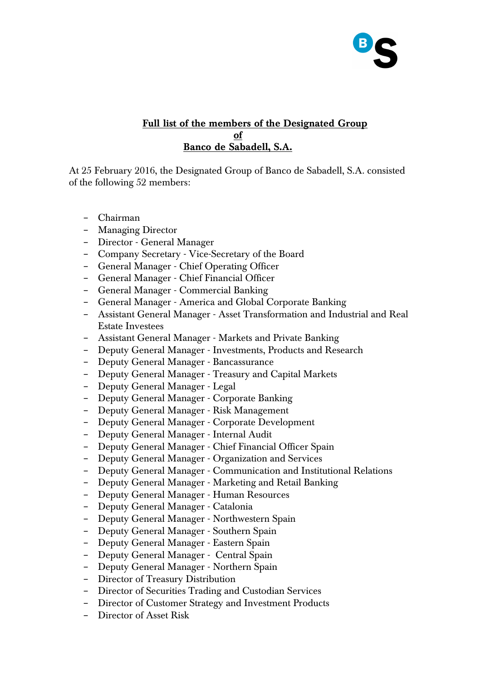

## **Full list of the members of the Designated Group of Banco de Sabadell, S.A.**

At 25 February 2016, the Designated Group of Banco de Sabadell, S.A. consisted of the following 52 members:

- − Chairman
- − Managing Director
- − Director General Manager
- − Company Secretary Vice-Secretary of the Board
- − General Manager Chief Operating Officer
- − General Manager Chief Financial Officer
- − General Manager Commercial Banking
- − General Manager America and Global Corporate Banking
- − Assistant General Manager Asset Transformation and Industrial and Real Estate Investees
- − Assistant General Manager Markets and Private Banking
- − Deputy General Manager Investments, Products and Research
- − Deputy General Manager Bancassurance
- − Deputy General Manager Treasury and Capital Markets
- − Deputy General Manager Legal
- − Deputy General Manager Corporate Banking
- − Deputy General Manager Risk Management
- − Deputy General Manager Corporate Development
- − Deputy General Manager Internal Audit
- − Deputy General Manager Chief Financial Officer Spain
- − Deputy General Manager Organization and Services
- − Deputy General Manager Communication and Institutional Relations
- − Deputy General Manager Marketing and Retail Banking
- − Deputy General Manager Human Resources
- − Deputy General Manager Catalonia
- − Deputy General Manager Northwestern Spain
- − Deputy General Manager Southern Spain
- − Deputy General Manager Eastern Spain
- − Deputy General Manager Central Spain
- − Deputy General Manager Northern Spain
- − Director of Treasury Distribution
- − Director of Securities Trading and Custodian Services
- − Director of Customer Strategy and Investment Products
- − Director of Asset Risk